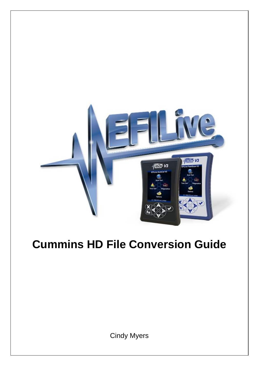

# **Cummins HD File Conversion Guide**

Cindy Myers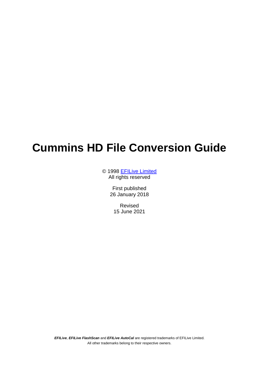## **Cummins HD File Conversion Guide**

© 1998 [EFILive Limited](http://www.efilive.com/) All rights reserved

> First published 26 January 2018

Revised 15 June 2021

*EFILive*, *EFILive FlashScan* and *EFILive AutoCal* are registered trademarks of EFILive Limited. All other trademarks belong to their respective owners.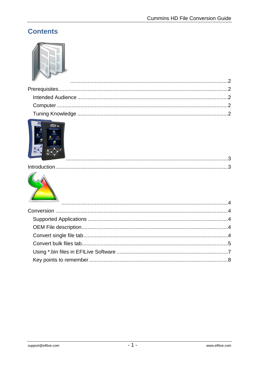### **Contents**





### 

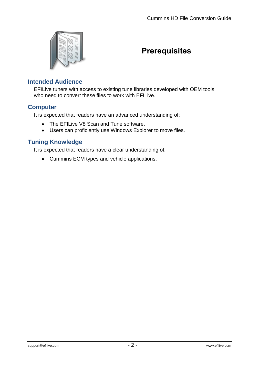<span id="page-3-0"></span>

### <span id="page-3-1"></span>**Prerequisites**

#### <span id="page-3-2"></span>**Intended Audience**

EFILive tuners with access to existing tune libraries developed with OEM tools who need to convert these files to work with EFILive.

#### <span id="page-3-3"></span>**Computer**

It is expected that readers have an advanced understanding of:

- The EFILive V8 Scan and Tune software.
- Users can proficiently use Windows Explorer to move files.

### <span id="page-3-4"></span>**Tuning Knowledge**

It is expected that readers have a clear understanding of:

Cummins ECM types and vehicle applications.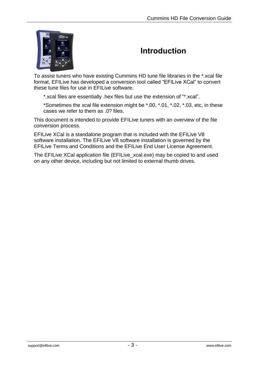<span id="page-4-0"></span>

### <span id="page-4-1"></span>**Introduction**

To assist tuners who have existing Cummins HD tune file libraries in the \*.xcal file format, EFILive has developed a conversion tool called "EFILive XCal" to convert these tune files for use in EFILive software.

\*.xcal files are essentially .hex files but use the extension of "\*.xcal".

\*Sometimes the xcal file extension might be \*.00, \*.01, \*.02, \*.03, etc, in these cases we refer to them as .0? files.

This document is intended to provide EFILive tuners with an overview of the file conversion process.

EFILive XCal is a standalone program that is included with the EFILive V8 software installation. The EFILive V8 software installation is governed by the EFILive Terms and Conditions and the EFILive End User License Agreement.

The EFILive XCal application file (EFILive\_xcal.exe) may be copied to and used on any other device, including but not limited to external thumb drives.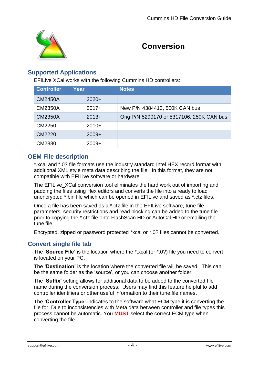<span id="page-5-0"></span>

### <span id="page-5-1"></span>**Conversion**

### <span id="page-5-2"></span>**Supported Applications**

EFILive XCal works with the following Cummins HD controllers:

| <b>Controller</b> | Year    | Notes                                     |
|-------------------|---------|-------------------------------------------|
| <b>CM2450A</b>    | $2020+$ |                                           |
| <b>CM2350A</b>    | $2017+$ | New P/N 4384413, 500K CAN bus             |
| <b>CM2350A</b>    | $2013+$ | Orig P/N 5290170 or 5317106, 250K CAN bus |
| CM2250            | $2010+$ |                                           |
| CM2220            | $2009+$ |                                           |
| CM2880            | $2009+$ |                                           |

### <span id="page-5-3"></span>**OEM File description**

\*.xcal and \*.0? file formats use the industry standard Intel HEX record format with additional XML style meta data describing the file. In this format, they are not compatible with EFILive software or hardware.

The EFILive XCal conversion tool eliminates the hard work out of importing and padding the files using Hex editors and converts the file into a ready to load unencrypted \*.bin file which can be opened in EFILive and saved as \*.ctz files.

Once a file has been saved as a \*.ctz file in the EFILive software, tune file parameters, security restrictions and read blocking can be added to the tune file prior to copying the \*.ctz file onto FlashScan HD or AutoCal HD or emailing the tune file.

Encrypted, zipped or password protected \*xcal or \*.0? files cannot be converted.

### <span id="page-5-4"></span>**Convert single file tab**

The **'Source File'** is the location where the \*.xcal (or \*.0?) file you need to convert is located on your PC.

The **'Destination'** is the location where the converted file will be saved. This can be the same folder as the 'source', or you can choose another folder.

The **'Suffix'** setting allows for additional data to be added to the converted file name during the conversion process. Users may find this feature helpful to add controller identifiers or other useful information to their tune file names.

The **'Controller Type'** indicates to the software what ECM type it is converting the file for. Due to inconsistencies with Meta data between controller and file types this process cannot be automatic. You **MUST** select the correct ECM type when converting the file.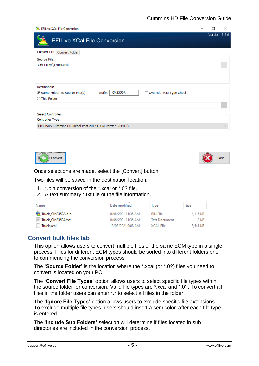| EFILive XCal File Conversion                                                                                  | □ | ×                 |
|---------------------------------------------------------------------------------------------------------------|---|-------------------|
| <b>EFILive XCal File Conversion</b>                                                                           |   | Version: 8.3.6    |
| <b>Convert File</b><br><b>Convert Folder</b>                                                                  |   |                   |
| Source File:                                                                                                  |   |                   |
| C:\EFILive\Truck.xcal                                                                                         |   | $\cdots$          |
| Destination:<br>Suffix: CM2350A<br>Override ECM Type Check<br>Same Folder as Source File(s)<br>◯ This Folder: |   |                   |
|                                                                                                               |   | $\mathbf{r}$ is a |
| Select Controller:<br>Controller Type:                                                                        |   |                   |
| CM2350A Cummins HD Diesel Post 2017 (ECM Part# 4384413)                                                       |   | $\checkmark$      |
| Convert                                                                                                       |   | Close             |

Once selections are made, select the [Convert] button.

Two files will be saved in the destination location.

- 1. \*.bin conversion of the \*.xcal or \*.0? file.
- 2. A text summary \*.txt file of the file information.

| Name                | Date modified      | Type                 | Size     |
|---------------------|--------------------|----------------------|----------|
| Truck_CM2350A.bin   | 8/06/2021 11:35 AM | <b>BIN File</b>      | 4,116 KB |
| ■ Truck_CM2350A.txt | 8/06/2021 11:35 AM | <b>Text Document</b> | 2 KB     |
| Truck.xcal          | 13/03/2021 9:08 AM | <b>XCAL File</b>     | 8.541 KB |

#### <span id="page-6-0"></span>**Convert bulk files tab**

This option allows users to convert multiple files of the same ECM type in a single process. Files for different ECM types should be sorted into different folders prior to commencing the conversion process.

The **'Source Folder'** is the location where the \*.xcal (or \*.0?) files you need to convert is located on your PC.

The **'Convert File Types'** option allows users to select specific file types within the source folder for conversion. Valid file types are \*.xcal and \*.0?. To convert all files in the folder users can enter \*.\* to select all files in the folder.

The **'Ignore File Types'** option allows users to exclude specific file extensions. To exclude multiple file types, users should insert a semicolon after each file type is entered.

The **'Include Sub Folders'** selection will determine if files located in sub directories are included in the conversion process.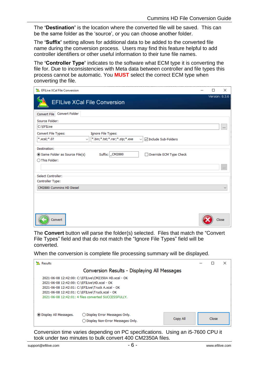The **'Destination'** is the location where the converted file will be saved. This can be the same folder as the 'source', or you can choose another folder.

The **'Suffix'** setting allows for additional data to be added to the converted file name during the conversion process. Users may find this feature helpful to add controller identifiers or other useful information to their tune file names.

The **'Controller Type'** indicates to the software what ECM type it is converting the file for. Due to inconsistencies with Meta data between controller and file types this process cannot be automatic. You **MUST** select the correct ECM type when converting the file.

| EFILive XCal File Conversion                                                                                 | □ | $\times$       |
|--------------------------------------------------------------------------------------------------------------|---|----------------|
| <b>EFILive XCal File Conversion</b>                                                                          |   | Version: 8.3.6 |
| <b>Convert Folder</b><br><b>Convert File</b>                                                                 |   |                |
| Source Folder:                                                                                               |   |                |
| C:\EFILive                                                                                                   |   | $\cdots$       |
| Convert File Types:<br>Ignore File Types:                                                                    |   |                |
| *.xcal;*.0?<br>*.bin;*.txt;*.rar;*.zip;*.exe<br><b>∞</b> Include Sub-Folders<br>$\checkmark$<br>$\checkmark$ |   |                |
| Destination:<br>Suffix: CM2880<br>Same Folder as Source File(s)<br>Override ECM Type Check<br>◯ This Folder: |   | <b>COL</b>     |
| Select Controller:                                                                                           |   |                |
| Controller Type:<br>CM2880 Cummins HD Diesel                                                                 |   | $\checkmark$   |
| Convert                                                                                                      |   | Close          |

The **Convert** button will parse the folder(s) selected. Files that match the "Convert File Types" field and that do not match the "Ignore File Types" field will be converted.

When the conversion is complete file processing summary will be displayed.

| Results                                                                                                                                                                                                                                                              |       | × |
|----------------------------------------------------------------------------------------------------------------------------------------------------------------------------------------------------------------------------------------------------------------------|-------|---|
| Conversion Results - Displaying All Messages                                                                                                                                                                                                                         |       |   |
| 2021-06-08 12:42:00: C:\EFILive\CM2350A HD.xcal - OK<br>2021-06-08 12:42:00: C:\EFILive\HD.xcal - OK<br>2021-06-08 12:42:01: C:\EFILive\Truck A.xcal - OK<br>2021-06-08 12:42:01: C:\EFILive\Truck.xcal - OK<br>2021-06-08 12:42:01: 4 files converted SUCCESSFULLY. |       |   |
| <b>O Display All Messages.</b><br>◯ Display Error Messages Only.<br>Copy All<br>◯ Display Non-Error Messages Only.                                                                                                                                                   | Close |   |

Conversion time varies depending on PC specifications. Using an i5-7600 CPU it took under two minutes to bulk convert 400 CM2350A files.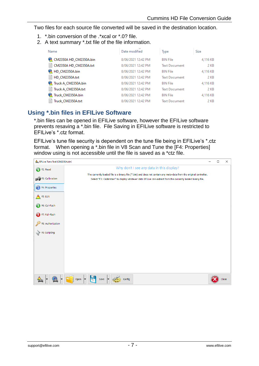Two files for each source file converted will be saved in the destination location.

- 1. \*.bin conversion of the .\*xcal or \*.0? file.
- 2. A text summary \*.txt file of the file information.

| Name                        | Date modified      | Type                 | Size     |
|-----------------------------|--------------------|----------------------|----------|
| CM2350A HD_CM2350A.bin      | 8/06/2021 12:42 PM | <b>BIN File</b>      | 4,116 KB |
| Ħ<br>CM2350A HD CM2350A.txt | 8/06/2021 12:42 PM | <b>Text Document</b> | 2 KB     |
| HD CM2350A.bin              | 8/06/2021 12:42 PM | <b>BIN File</b>      | 4,116 KB |
| Ħ<br>HD CM2350A.txt         | 8/06/2021 12:42 PM | <b>Text Document</b> | 2 KB     |
| Truck A_CM2350A.bin         | 8/06/2021 12:42 PM | <b>BIN File</b>      | 4,116 KB |
| Ħ<br>Truck A CM2350A.txt    | 8/06/2021 12:42 PM | <b>Text Document</b> | 2 KB     |
| Truck CM2350A.bin           | 8/06/2021 12:42 PM | <b>BIN File</b>      | 4,116 KB |
| E<br>Truck CM2350A.txt      | 8/06/2021 12:42 PM | <b>Text Document</b> | 2 KB     |

### <span id="page-8-0"></span>**Using \*.bin files in EFILive Software**

\*.bin files can be opened in EFILive software, however the EFILive software prevents resaving a \*.bin file. File Saving in EFILive software is restricted to EFILive's \*.ctz format.

EFILive's tune file security is dependent on the tune file being in EFILive's \*.ctz format. When opening a \*.bin file in V8 Scan and Tune the [F4: Properties] window using is not accessible until the file is saved as a \*ctz file.